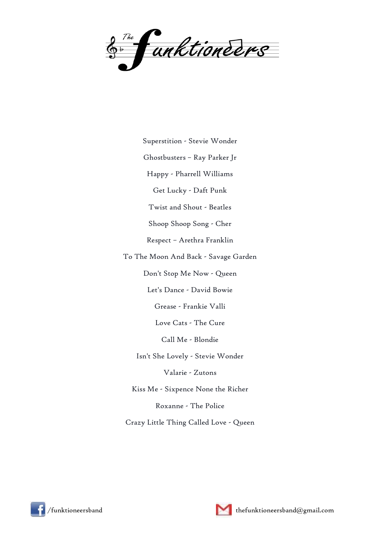

Superstition - Stevie Wonder

Ghostbusters – Ray Parker Jr

Happy - Pharrell Williams

Get Lucky - Daft Punk

Twist and Shout - Beatles

Shoop Shoop Song - Cher

Respect – Arethra Franklin

To The Moon And Back - Savage Garden

Don't Stop Me Now - Queen

Let's Dance - David Bowie

Grease - Frankie Valli

Love Cats - The Cure

Call Me - Blondie

Isn't She Lovely - Stevie Wonder

Valarie - Zutons

Kiss Me - Sixpence None the Richer

Roxanne - The Police

Crazy Little Thing Called Love - Queen





/funktioneersband thefunktioneersband@gmail.com